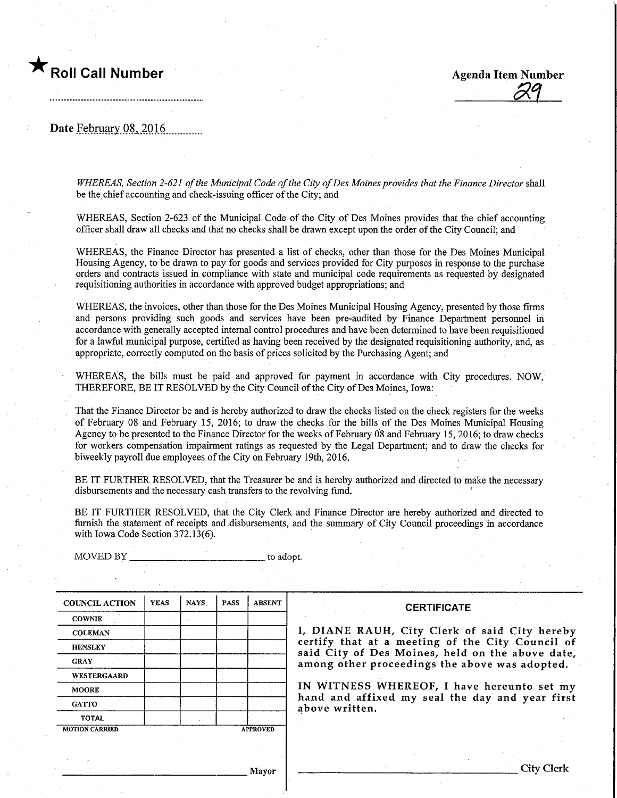

**Agenda Item Number** 

Date February 08, 2016

WHEREAS, Section 2-621 of the Municipal Code of the City of Des Moines provides that the Finance Director shall be the chief accounting and check-issuing officer of the City; and

WHEREAS, Section 2-623 of the Municipal Code of the City of Des Moines provides that the chief accounting officer shall draw all checks and that no checks shall be drawn except upon the order of the City Council; and

WHEREAS, the Finance Director has presented a list of checks, other than those for the Des Moines Municipal Housing Agency, to be drawn to pay for goods and services provided for City purposes in response to the purchase orders and contracts issued in compliance with state and municipal code requirements as requested by designated requisitioning authorities in accordance with approved budget appropriations; and

WHEREAS, the invoices, other than those for the Des Moines Municipal Housing Agency, presented by those firms and persons providing such goods and services have been pre-audited by Finance Department personnel in accordance with generally accepted internal control procedures and have been determined to have been requisitioned for a lawful municipal purpose, certified as having been received by the designated requisitioning authority, and,as appropriate, correctly computed on the basis of prices solicited by the Purchasing Agent; and

WHEREAS, the bills must be paid and approved for payment in accordance with City procedures. NOW, THEREFORE, BE IT RESOLVED by the City Council of the City of Des Moines, Iowa:

That the Finance Director be and is hereby authorized to draw the checks listed on the check registers for the weeks of February 08 and February 15, 2016; to draw the checks for the bills of the Des Moines Municipal Housing Agency to be presented to the Finance Director for the weeks of February 08 and February 15,2016; to draw checks for workers compensation impairment ratings as requested by the Legal Department; and to draw the checks for biweekly payroll due employees of the City on February 19th, 2016.

BE IT FURTHER RESOLVED, that the Treasurer be and is hereby authorized and directed to make the necessary disbursements and the necessary cash transfers to the revolving fund. '

BE IT FURTHER RESOLVED, that the City Clerk and Finance Director are hereby authorized and directed to furnish the statement of receipts and disbursements, and the summary of City Council proceedings in accordance with Iowa Code Section 372.13(6).

COUNCIL ACTION **COWNIE COLEMAN HENSLEY** GRAY WESTERGAARD MOORE **GATTO** TOTAL YEAS MOTION CARRIED NAYS | PASS A PROVED ABSENT

MOVED BY to adopt.

## **CERTIFICATE**

I, DIANE RAUH/ City Clerk of said City hereby certify that at a meeting of the City Council of said City of Des Moines, held on the above date, among other proceedings the above was adopted.

IN WITNESS WHEREOF, I have hereunto set my hand and affixed my seal the day and year first above written.

Mayor